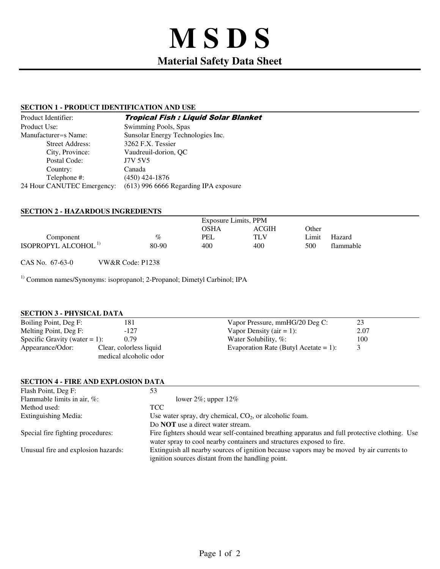# **M S D S Material Safety Data Sheet**

# **SECTION 1 - PRODUCT IDENTIFICATION AND USE**

| Product Identifier:        | <b>Tropical Fish : Liquid Solar Blanket</b> |
|----------------------------|---------------------------------------------|
| Product Use:               | Swimming Pools, Spas                        |
| Manufacturer=s Name:       | Sunsolar Energy Technologies Inc.           |
| <b>Street Address:</b>     | 3262 F.X. Tessier                           |
| City, Province:            | Vaudreuil-dorion, OC                        |
| Postal Code:               | <b>J7V 5V5</b>                              |
| Country:                   | Canada                                      |
| Telephone #:               | $(450)$ 424-1876                            |
| 24 Hour CANUTEC Emergency: | (613) 996 6666 Regarding IPA exposure       |

# **SECTION 2 - HAZARDOUS INGREDIENTS**

|                                        |       | Exposure Limits, PPM |       |       |           |
|----------------------------------------|-------|----------------------|-------|-------|-----------|
|                                        |       | OSHA                 | ACGIH | Other |           |
| Component                              | $\%$  | PEL                  | TLV   | Limit | Hazard    |
| <b>ISOPROPYL ALCOHOL</b> <sup>1)</sup> | 80-90 | 400                  | 400   | 500   | flammable |

CAS No. 67-63-0 VW&R Code: P1238

<sup>1)</sup> Common names/Synonyms: isopropanol; 2-Propanol; Dimetyl Carbinol; IPA

#### **SECTION 3 - PHYSICAL DATA**

| Boiling Point, Deg F:            | 181                     | Vapor Pressure, mmHG/20 Deg C:        | 23   |  |
|----------------------------------|-------------------------|---------------------------------------|------|--|
| Melting Point, Deg F:            | $-127$                  | Vapor Density (air $= 1$ ):           | 2.07 |  |
| Specific Gravity (water $= 1$ ): | 0.79                    | Water Solubility, $\%$ :              | 100  |  |
| Appearance/Odor:                 | Clear, colorless liquid | Evaporation Rate (Butyl Acetate = 1): |      |  |
|                                  | medical alcoholic odor  |                                       |      |  |

## **SECTION 4 - FIRE AND EXPLOSION DATA**

| Flash Point, Deg F:                 | 53                                                                                                                                                                      |
|-------------------------------------|-------------------------------------------------------------------------------------------------------------------------------------------------------------------------|
| Flammable limits in air, $\%$ :     | lower $2\%$ ; upper $12\%$                                                                                                                                              |
| Method used:                        | TCC.                                                                                                                                                                    |
| Extinguishing Media:                | Use water spray, dry chemical, $CO2$ , or alcoholic foam.                                                                                                               |
|                                     | Do <b>NOT</b> use a direct water stream.                                                                                                                                |
| Special fire fighting procedures:   | Fire fighters should wear self-contained breathing apparatus and full protective clothing. Use<br>water spray to cool nearby containers and structures exposed to fire. |
| Unusual fire and explosion hazards: | Extinguish all nearby sources of ignition because vapors may be moved by air currents to<br>ignition sources distant from the handling point.                           |